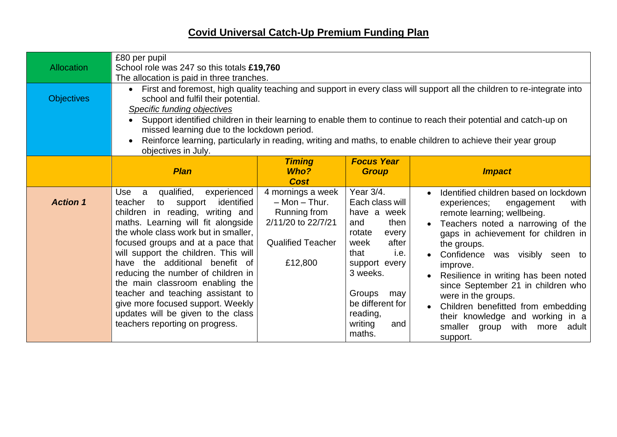## **Covid Universal Catch-Up Premium Funding Plan**

| <b>Allocation</b> | £80 per pupil<br>School role was 247 so this totals £19,760<br>The allocation is paid in three tranches.                                                                                                                                                                                                                                                                                                                                                                                                                                         |                                                                                                                     |                                                                                                                                                                                                                          |                                                                                                                                                                                                                                                                                                                                                                                                                                                                                                       |  |  |
|-------------------|--------------------------------------------------------------------------------------------------------------------------------------------------------------------------------------------------------------------------------------------------------------------------------------------------------------------------------------------------------------------------------------------------------------------------------------------------------------------------------------------------------------------------------------------------|---------------------------------------------------------------------------------------------------------------------|--------------------------------------------------------------------------------------------------------------------------------------------------------------------------------------------------------------------------|-------------------------------------------------------------------------------------------------------------------------------------------------------------------------------------------------------------------------------------------------------------------------------------------------------------------------------------------------------------------------------------------------------------------------------------------------------------------------------------------------------|--|--|
| <b>Objectives</b> | • First and foremost, high quality teaching and support in every class will support all the children to re-integrate into<br>school and fulfil their potential.<br>Specific funding objectives<br>Support identified children in their learning to enable them to continue to reach their potential and catch-up on<br>missed learning due to the lockdown period.<br>Reinforce learning, particularly in reading, writing and maths, to enable children to achieve their year group<br>objectives in July.                                      |                                                                                                                     |                                                                                                                                                                                                                          |                                                                                                                                                                                                                                                                                                                                                                                                                                                                                                       |  |  |
|                   | <b>Plan</b>                                                                                                                                                                                                                                                                                                                                                                                                                                                                                                                                      | <b>Timing</b><br>Who?<br><b>Cost</b>                                                                                | <b>Focus Year</b><br><b>Group</b>                                                                                                                                                                                        | <b>Impact</b>                                                                                                                                                                                                                                                                                                                                                                                                                                                                                         |  |  |
| <b>Action 1</b>   | qualified,<br>experienced<br><b>Use</b><br>a<br>support identified<br>teacher<br>to<br>children in reading, writing and<br>maths. Learning will fit alongside<br>the whole class work but in smaller,<br>focused groups and at a pace that<br>will support the children. This will<br>have the additional benefit of<br>reducing the number of children in<br>the main classroom enabling the<br>teacher and teaching assistant to<br>give more focused support. Weekly<br>updates will be given to the class<br>teachers reporting on progress. | 4 mornings a week<br>$-$ Mon $-$ Thur.<br>Running from<br>2/11/20 to 22/7/21<br><b>Qualified Teacher</b><br>£12,800 | Year 3/4.<br>Each class will<br>have a week<br>then<br>and<br>rotate<br>every<br>week<br>after<br>i.e.<br>that<br>support every<br>3 weeks.<br>Groups<br>may<br>be different for<br>reading,<br>writing<br>and<br>maths. | Identified children based on lockdown<br>$\bullet$<br>experiences;<br>with<br>engagement<br>remote learning; wellbeing.<br>Teachers noted a narrowing of the<br>gaps in achievement for children in<br>the groups.<br>Confidence was visibly seen to<br>improve.<br>Resilience in writing has been noted<br>since September 21 in children who<br>were in the groups.<br>Children benefitted from embedding<br>their knowledge and working in a<br>smaller<br>with more<br>group<br>adult<br>support. |  |  |